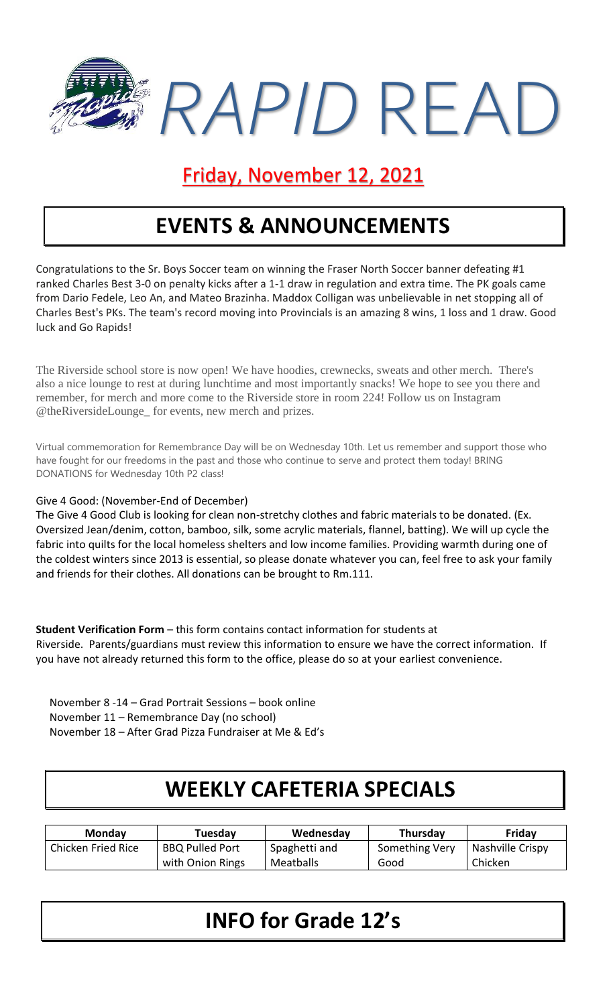

## Friday, November 12, 2021

# **EVENTS & ANNOUNCEMENTS**

Congratulations to the Sr. Boys Soccer team on winning the Fraser North Soccer banner defeating #1 ranked Charles Best 3-0 on penalty kicks after a 1-1 draw in regulation and extra time. The PK goals came from Dario Fedele, Leo An, and Mateo Brazinha. Maddox Colligan was unbelievable in net stopping all of Charles Best's PKs. The team's record moving into Provincials is an amazing 8 wins, 1 loss and 1 draw. Good luck and Go Rapids!

The Riverside school store is now open! We have hoodies, crewnecks, sweats and other merch. There's also a nice lounge to rest at during lunchtime and most importantly snacks! We hope to see you there and remember, for merch and more come to the Riverside store in room 224! Follow us on Instagram @theRiversideLounge\_ for events, new merch and prizes.

Virtual commemoration for Remembrance Day will be on Wednesday 10th. Let us remember and support those who have fought for our freedoms in the past and those who continue to serve and protect them today! BRING DONATIONS for Wednesday 10th P2 class!

Give 4 Good: (November-End of December)

The Give 4 Good Club is looking for clean non-stretchy clothes and fabric materials to be donated. (Ex. Oversized Jean/denim, cotton, bamboo, silk, some acrylic materials, flannel, batting). We will up cycle the fabric into quilts for the local homeless shelters and low income families. Providing warmth during one of the coldest winters since 2013 is essential, so please donate whatever you can, feel free to ask your family and friends for their clothes. All donations can be brought to Rm.111.

**Student Verification Form** – this form contains contact information for students at Riverside. Parents/guardians must review this information to ensure we have the correct information. If you have not already returned this form to the office, please do so at your earliest convenience.

November 8 -14 – Grad Portrait Sessions – book online November 11 – Remembrance Day (no school) November 18 – After Grad Pizza Fundraiser at Me & Ed's

## **WEEKLY CAFETERIA SPECIALS**

| <b>Monday</b>      | Tuesday                | Wednesday     | <b>Thursday</b> | Friday           |
|--------------------|------------------------|---------------|-----------------|------------------|
| Chicken Fried Rice | <b>BBQ Pulled Port</b> | Spaghetti and | Something Very  | Nashville Crispy |
|                    | with Onion Rings       | Meatballs     | Good            | Chicken          |

## **INFO for Grade 12's**